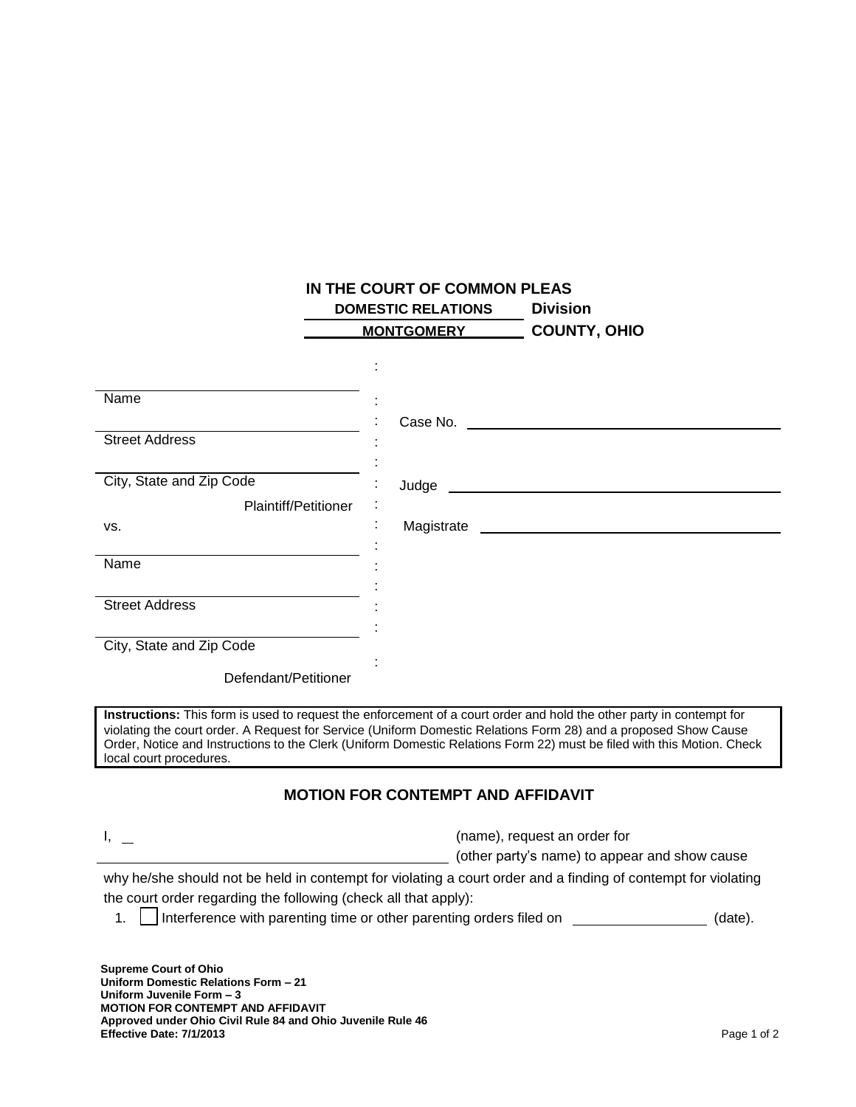|                             | IN THE COURT OF COMMON PLEAS |                       |  |
|-----------------------------|------------------------------|-----------------------|--|
|                             | <b>DOMESTIC RELATIONS</b>    | <b>Division</b>       |  |
|                             | <b>MONTGOMERY</b>            | <b>COUNTY, OHIO</b>   |  |
|                             |                              |                       |  |
|                             |                              |                       |  |
| Name                        |                              |                       |  |
|                             |                              |                       |  |
| <b>Street Address</b>       |                              |                       |  |
|                             |                              |                       |  |
| City, State and Zip Code    | Judge                        |                       |  |
| <b>Plaintiff/Petitioner</b> |                              |                       |  |
| VS.                         |                              | Magistrate Magistrate |  |
| Name                        |                              |                       |  |
|                             |                              |                       |  |
| <b>Street Address</b>       |                              |                       |  |
|                             |                              |                       |  |
| City, State and Zip Code    |                              |                       |  |
|                             |                              |                       |  |
| Defendant/Petitioner        |                              |                       |  |
|                             |                              |                       |  |

**Instructions:** This form is used to request the enforcement of a court order and hold the other party in contempt for violating the court order. A Request for Service (Uniform Domestic Relations Form 28) and a proposed Show Cause Order, Notice and Instructions to the Clerk (Uniform Domestic Relations Form 22) must be filed with this Motion. Check local court procedures.

## **MOTION FOR CONTEMPT AND AFFIDAVIT**

**I, the contract of the contract of the contract of the contract of the contract of the contract of the contract of the contract of the contract of the contract of the contract of the contract of the contract of the contra** 

(other party's name) to appear and show cause

why he/she should not be held in contempt for violating a court order and a finding of contempt for violating the court order regarding the following (check all that apply):

1. Interference with parenting time or other parenting orders filed on \_\_\_\_\_\_\_\_\_\_\_\_\_\_\_\_\_(date).

**Supreme Court of Ohio Uniform Domestic Relations Form – 21 Uniform Juvenile Form – 3 MOTION FOR CONTEMPT AND AFFIDAVIT Approved under Ohio Civil Rule 84 and Ohio Juvenile Rule 46 Effective Date: 7/1/2013** Page 1 of 2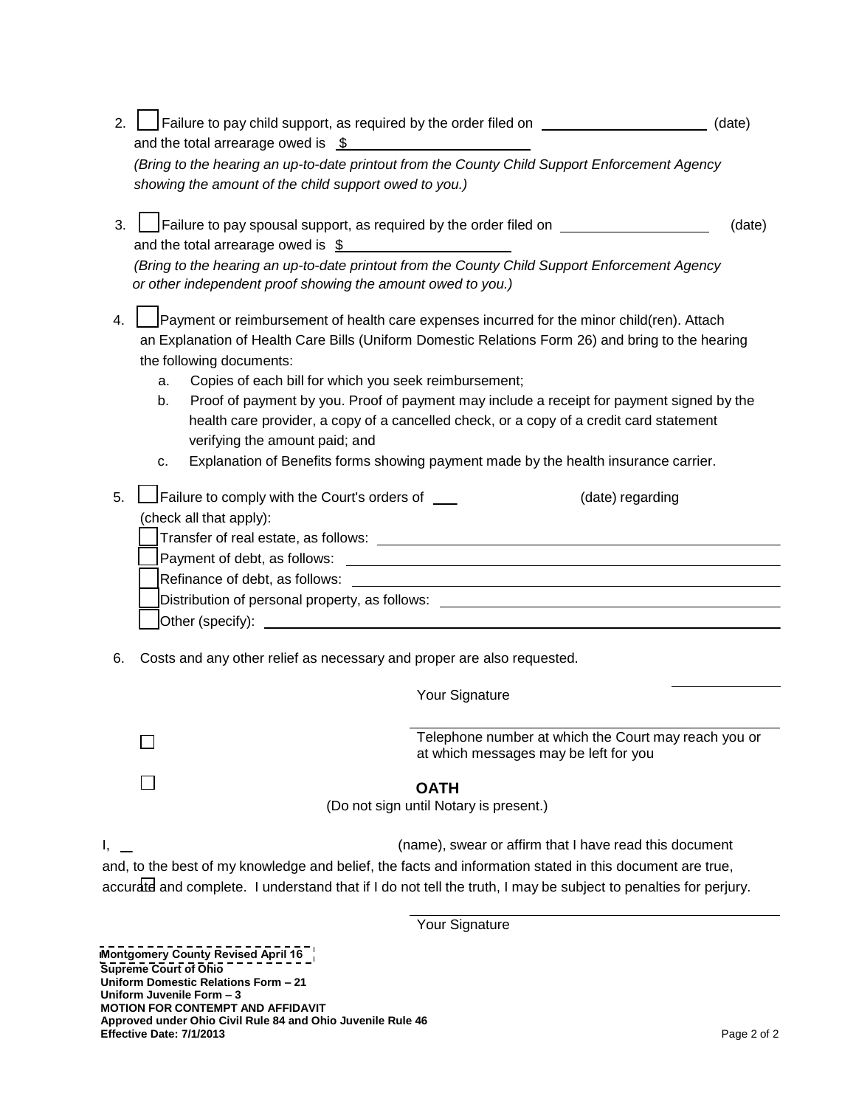| 2. | Failure to pay child support, as required by the order filed on _________________<br>and the total arrearage owed is $$$                                                                                                                                                                                                                                                                                                                                                                                                                                                                                                | (date) |
|----|-------------------------------------------------------------------------------------------------------------------------------------------------------------------------------------------------------------------------------------------------------------------------------------------------------------------------------------------------------------------------------------------------------------------------------------------------------------------------------------------------------------------------------------------------------------------------------------------------------------------------|--------|
|    | (Bring to the hearing an up-to-date printout from the County Child Support Enforcement Agency<br>showing the amount of the child support owed to you.)                                                                                                                                                                                                                                                                                                                                                                                                                                                                  |        |
| 3. | Failure to pay spousal support, as required by the order filed on ______________<br>and the total arrearage owed is $$$                                                                                                                                                                                                                                                                                                                                                                                                                                                                                                 | (date) |
|    | (Bring to the hearing an up-to-date printout from the County Child Support Enforcement Agency<br>or other independent proof showing the amount owed to you.)                                                                                                                                                                                                                                                                                                                                                                                                                                                            |        |
| 4. | Payment or reimbursement of health care expenses incurred for the minor child(ren). Attach<br>an Explanation of Health Care Bills (Uniform Domestic Relations Form 26) and bring to the hearing<br>the following documents:<br>Copies of each bill for which you seek reimbursement;<br>a.<br>Proof of payment by you. Proof of payment may include a receipt for payment signed by the<br>b.<br>health care provider, a copy of a cancelled check, or a copy of a credit card statement<br>verifying the amount paid; and<br>Explanation of Benefits forms showing payment made by the health insurance carrier.<br>C. |        |
| 5. | Failure to comply with the Court's orders of ___<br>(date) regarding<br>(check all that apply):<br>Distribution of personal property, as follows: Distribution of personal property of the state of the state of<br>Other (specify):<br><u> 1989 - John Stein, Amerikaansk politiker (</u>                                                                                                                                                                                                                                                                                                                              |        |
| 6. | Costs and any other relief as necessary and proper are also requested.                                                                                                                                                                                                                                                                                                                                                                                                                                                                                                                                                  |        |

Your Signature

Telephone number at which the Court may reach you or at which messages may be left for you

## **OATH**

(Do not sign until Notary is present.)

I,  $\Box$ and, to the best of my knowledge and belief, the facts and information stated in this document are true, accurate and complete. I understand that if I do not tell the truth, I may be subject to penalties for perjury.

Your Signature

**Supreme Court of Ohio Uniform Domestic Relations Form – 21 Uniform Juvenile Form – 3 MOTION FOR CONTEMPT AND AFFIDAVIT Approved under Ohio Civil Rule 84 and Ohio Juvenile Rule 46 Effective Date: 7/1/2013** Page 2 of 2 **Montgomery County Revised April 16**

 $\Box$ 

 $\Box$